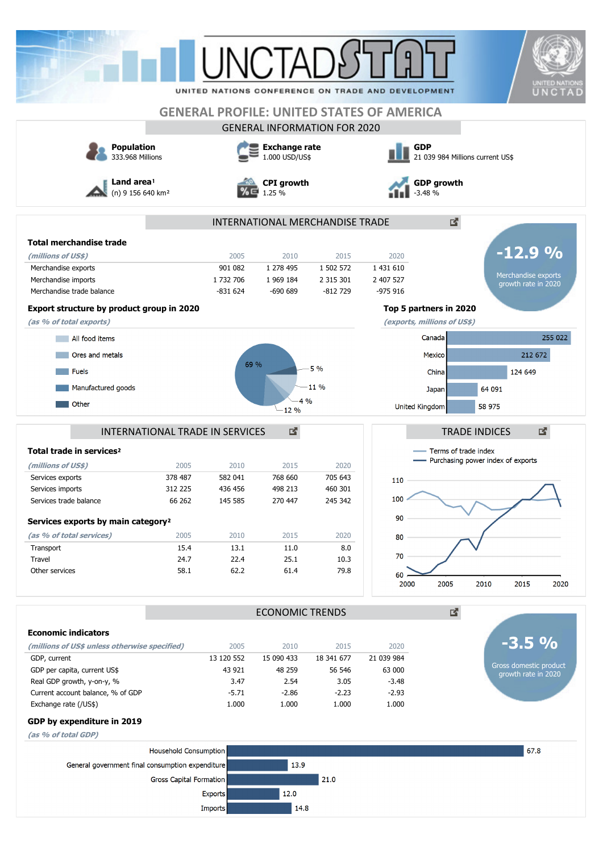|                                                                                      |                                                                       |                                                                       |                                                                                             |                                                                                  |                                                                                 |                                                           | UNCTAD                                                                                                                                               |  |
|--------------------------------------------------------------------------------------|-----------------------------------------------------------------------|-----------------------------------------------------------------------|---------------------------------------------------------------------------------------------|----------------------------------------------------------------------------------|---------------------------------------------------------------------------------|-----------------------------------------------------------|------------------------------------------------------------------------------------------------------------------------------------------------------|--|
|                                                                                      |                                                                       |                                                                       |                                                                                             | <b>GENERAL PROFILE: UNITED STATES OF AMERICA</b>                                 |                                                                                 |                                                           |                                                                                                                                                      |  |
|                                                                                      |                                                                       |                                                                       | <b>GENERAL INFORMATION FOR 2020</b>                                                         | <b>GDP</b>                                                                       |                                                                                 |                                                           |                                                                                                                                                      |  |
| <b>Population</b><br>333.968 Millions<br>Land area!<br>(n) 9 156 640 km <sup>2</sup> |                                                                       | <b>Exchange rate</b><br>1.000 USD/US\$<br><b>CPI</b> growth<br>1.25 % |                                                                                             |                                                                                  | 21 039 984 Millions current US\$<br><b>GDP</b> growth<br>$-3.48%$               |                                                           |                                                                                                                                                      |  |
|                                                                                      |                                                                       |                                                                       |                                                                                             |                                                                                  |                                                                                 |                                                           |                                                                                                                                                      |  |
|                                                                                      | 2005                                                                  | 2010                                                                  | 2015                                                                                        | 2020                                                                             |                                                                                 |                                                           | $-12.9%$                                                                                                                                             |  |
|                                                                                      | 901 082<br>1 732 706                                                  | 1 278 495<br>1 969 184                                                | 1 502 572<br>2 3 1 5 3 0 1                                                                  | 1 431 610<br>2 407 527                                                           |                                                                                 |                                                           | Merchandise exports<br>growth rate in 2020                                                                                                           |  |
| Export structure by product group in 2020                                            |                                                                       |                                                                       |                                                                                             |                                                                                  |                                                                                 |                                                           |                                                                                                                                                      |  |
|                                                                                      |                                                                       |                                                                       |                                                                                             |                                                                                  |                                                                                 |                                                           | 255 022                                                                                                                                              |  |
|                                                                                      |                                                                       |                                                                       |                                                                                             |                                                                                  |                                                                                 |                                                           | 212 672                                                                                                                                              |  |
|                                                                                      |                                                                       |                                                                       | 11 %                                                                                        |                                                                                  | Japan                                                                           | 64 091                                                    | 124 649                                                                                                                                              |  |
|                                                                                      |                                                                       | $-12%$                                                                |                                                                                             |                                                                                  |                                                                                 | 58 975                                                    |                                                                                                                                                      |  |
|                                                                                      |                                                                       | 図                                                                     |                                                                                             |                                                                                  |                                                                                 |                                                           | 啓                                                                                                                                                    |  |
|                                                                                      |                                                                       |                                                                       |                                                                                             |                                                                                  |                                                                                 |                                                           |                                                                                                                                                      |  |
| 378 487                                                                              | 582 041                                                               | 768 660                                                               | 705 643                                                                                     | $110 -$                                                                          |                                                                                 |                                                           |                                                                                                                                                      |  |
| 312 225                                                                              | 436 456                                                               | 498 213                                                               | 460 301                                                                                     |                                                                                  |                                                                                 |                                                           |                                                                                                                                                      |  |
| 66 262                                                                               | 145 585                                                               | 270 447                                                               | 245 342                                                                                     |                                                                                  |                                                                                 |                                                           |                                                                                                                                                      |  |
| Services exports by main category <sup>2</sup>                                       |                                                                       |                                                                       |                                                                                             |                                                                                  |                                                                                 |                                                           |                                                                                                                                                      |  |
| 2005                                                                                 | 2010                                                                  | 2015                                                                  | 2020                                                                                        | 80                                                                               |                                                                                 |                                                           |                                                                                                                                                      |  |
|                                                                                      |                                                                       |                                                                       |                                                                                             |                                                                                  |                                                                                 |                                                           |                                                                                                                                                      |  |
| 58.1                                                                                 | 62.2                                                                  | 61.4                                                                  | 79.8                                                                                        | 60                                                                               |                                                                                 |                                                           | 2015<br>2020                                                                                                                                         |  |
|                                                                                      |                                                                       |                                                                       |                                                                                             |                                                                                  |                                                                                 |                                                           |                                                                                                                                                      |  |
|                                                                                      |                                                                       |                                                                       |                                                                                             |                                                                                  |                                                                                 |                                                           |                                                                                                                                                      |  |
|                                                                                      |                                                                       |                                                                       |                                                                                             |                                                                                  |                                                                                 |                                                           | $-3.5%$                                                                                                                                              |  |
|                                                                                      | 13 120 552                                                            | 15 090 433                                                            | 18 341 677                                                                                  | 21 039 984                                                                       |                                                                                 |                                                           |                                                                                                                                                      |  |
|                                                                                      | 43 921                                                                | 48 259                                                                | 56 546                                                                                      | 63 000                                                                           |                                                                                 |                                                           | Gross domestic product<br>growth rate in 2020                                                                                                        |  |
|                                                                                      | 3.47                                                                  | 2.54                                                                  | 3.05                                                                                        | $-3.48$                                                                          |                                                                                 |                                                           |                                                                                                                                                      |  |
|                                                                                      |                                                                       |                                                                       |                                                                                             |                                                                                  |                                                                                 |                                                           |                                                                                                                                                      |  |
|                                                                                      | $-5.71$<br>1.000                                                      | $-2.86$<br>1.000                                                      | $-2.23$<br>1.000                                                                            | $-2.93$<br>1.000                                                                 |                                                                                 |                                                           |                                                                                                                                                      |  |
|                                                                                      |                                                                       |                                                                       |                                                                                             |                                                                                  |                                                                                 |                                                           |                                                                                                                                                      |  |
|                                                                                      |                                                                       |                                                                       |                                                                                             |                                                                                  |                                                                                 |                                                           |                                                                                                                                                      |  |
| Household Consumption                                                                |                                                                       |                                                                       |                                                                                             |                                                                                  |                                                                                 |                                                           | 67.8                                                                                                                                                 |  |
| General government final consumption expenditure                                     |                                                                       | 13.9                                                                  |                                                                                             |                                                                                  |                                                                                 |                                                           |                                                                                                                                                      |  |
| <b>Gross Capital Formation</b>                                                       | <b>Exports</b>                                                        | 12.0                                                                  | 21.0                                                                                        |                                                                                  |                                                                                 |                                                           |                                                                                                                                                      |  |
|                                                                                      | 2005<br>15.4<br>24.7<br>(millions of US\$ unless otherwise specified) | $-831624$<br>2010<br>13.1<br>22.4<br>2005                             | $-690689$<br>69 %<br><b>INTERNATIONAL TRADE IN SERVICES</b><br>2015<br>11.0<br>25.1<br>2010 | $-812729$<br>5 %<br>4 %<br>2020<br>8.0<br>10.3<br><b>ECONOMIC TRENDS</b><br>2015 | INTERNATIONAL MERCHANDISE TRADE<br>$-975916$<br>100<br>90<br>70<br>2000<br>2020 | Canada<br>Mexico<br>China<br>United Kingdom<br>2005<br>凶. | Top 5 partners in 2020<br>(exports, millions of US\$)<br><b>TRADE INDICES</b><br>Terms of trade index<br>- Purchasing power index of exports<br>2010 |  |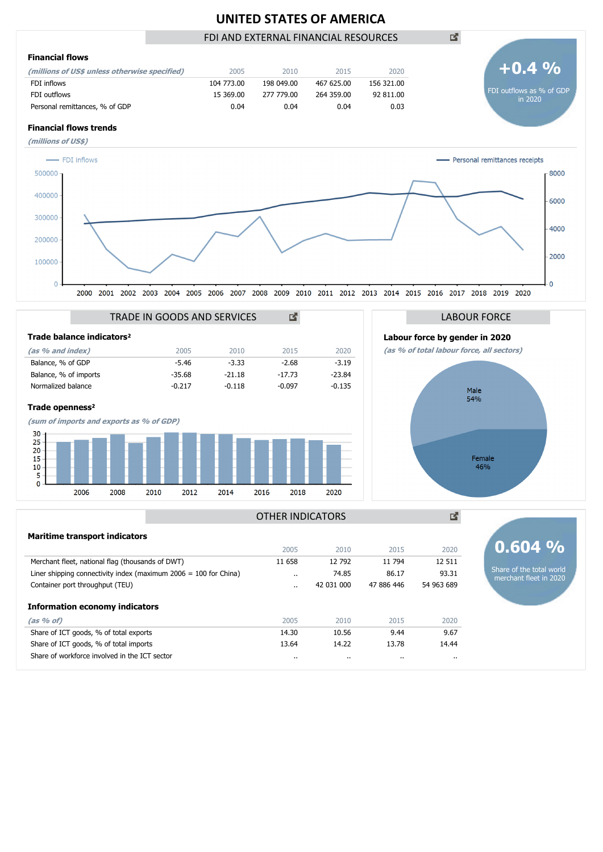# **UNITED STATES OF AMERICA**

## FDI AND EXTERNAL FINANCIAL RESOURCES

國



| Merchant fleet, national flag (thousands of DWT)                   | 11 658               | 12 792<br>74.85 | 11 794<br>86.17 | 12 5 11    |                                                    |  |
|--------------------------------------------------------------------|----------------------|-----------------|-----------------|------------|----------------------------------------------------|--|
| Liner shipping connectivity index (maximum $2006 = 100$ for China) | $\cdots$             |                 |                 | 93.31      | Share of the total world<br>merchant fleet in 2020 |  |
| Container port throughput (TEU)                                    | $\ddot{\phantom{0}}$ | 42 031 000      | 47 886 446      | 54 963 689 |                                                    |  |
| <b>Information economy indicators</b>                              |                      |                 |                 |            |                                                    |  |
| $(as % of)$                                                        | 2005                 | 2010            | 2015            | 2020       |                                                    |  |
| Share of ICT goods, % of total exports                             | 14.30                | 10.56           | 9.44            | 9.67       |                                                    |  |
| Share of ICT goods, % of total imports                             | 13.64                | 14.22           | 13.78           | 14.44      |                                                    |  |
| Share of workforce involved in the ICT sector                      | $\cdots$             |                 |                 | $\cdots$   |                                                    |  |
|                                                                    |                      |                 |                 |            |                                                    |  |